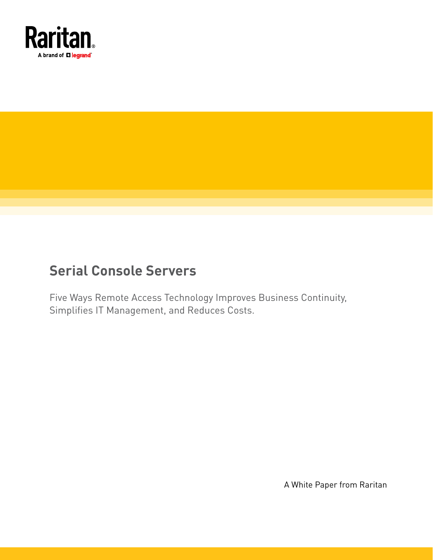

# **Serial Console Servers**

Five Ways Remote Access Technology Improves Business Continuity, Simplifies IT Management, and Reduces Costs.

A White Paper from Raritan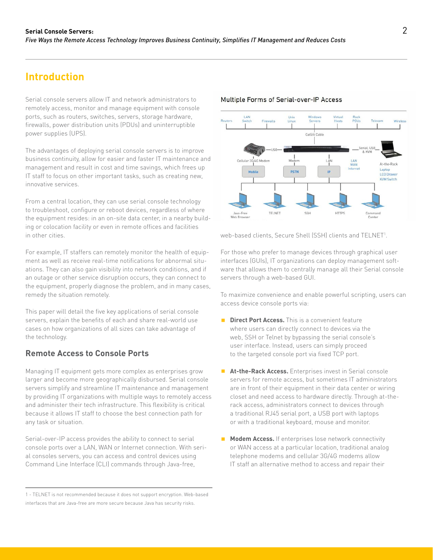## **Introduction**

Serial console servers allow IT and network administrators to remotely access, monitor and manage equipment with console ports, such as routers, switches, servers, storage hardware, firewalls, power distribution units (PDUs) and uninterruptible power supplies (UPS).

The advantages of deploying serial console servers is to improve business continuity, allow for easier and faster IT maintenance and management and result in cost and time savings, which frees up IT staff to focus on other important tasks, such as creating new, innovative services.

From a central location, they can use serial console technology to troubleshoot, configure or reboot devices, regardless of where the equipment resides: in an on-site data center, in a nearby building or colocation facility or even in remote offices and facilities in other cities.

For example, IT staffers can remotely monitor the health of equipment as well as receive real-time notifications for abnormal situations. They can also gain visibility into network conditions, and if an outage or other service disruption occurs, they can connect to the equipment, properly diagnose the problem, and in many cases, remedy the situation remotely.

This paper will detail the five key applications of serial console servers, explain the benefits of each and share real-world use cases on how organizations of all sizes can take advantage of the technology.

#### **Remote Access to Console Ports**

Managing IT equipment gets more complex as enterprises grow larger and become more geographically disbursed. Serial console servers simplify and streamline IT maintenance and management by providing IT organizations with multiple ways to remotely access and administer their tech infrastructure. This flexibility is critical because it allows IT staff to choose the best connection path for any task or situation.

Serial-over-IP access provides the ability to connect to serial console ports over a LAN, WAN or Internet connection. With serial consoles servers, you can access and control devices using Command Line Interface (CLI) commands through Java-free,

#### Multiple Forms of Serial-over-IP Access



web-based clients, Secure Shell (SSH) clients and TELNET1 .

For those who prefer to manage devices through graphical user interfaces (GUIs), IT organizations can deploy management software that allows them to centrally manage all their Serial console servers through a web-based GUI.

To maximize convenience and enable powerful scripting, users can access device console ports via:

- **Direct Port Access.** This is a convenient feature where users can directly connect to devices via the web, SSH or Telnet by bypassing the serial console's user interface. Instead, users can simply proceed to the targeted console port via fixed TCP port.
- **At-the-Rack Access.** Enterprises invest in Serial console servers for remote access, but sometimes IT administrators are in front of their equipment in their data center or wiring closet and need access to hardware directly. Through at-therack access, administrators connect to devices through a traditional RJ45 serial port, a USB port with laptops or with a traditional keyboard, mouse and monitor.
- **Modem Access.** If enterprises lose network connectivity or WAN access at a particular location, traditional analog telephone modems and cellular 3G/4G modems allow IT staff an alternative method to access and repair their

<sup>1 -</sup> TELNET is not recommended because it does not support encryption. Web-based interfaces that are Java-free are more secure because Java has security risks.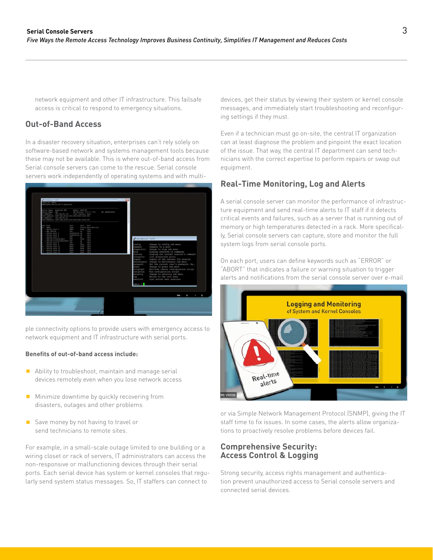network equipment and other IT infrastructure. This failsafe access is critical to respond to emergency situations.

### **Out-of-Band Access**

In a disaster recovery situation, enterprises can't rely solely on software-based network and systems management tools because these may not be available. This is where out-of-band access from Serial console servers can come to the rescue. Serial console servers work independently of operating systems and with multi-



ple connectivity options to provide users with emergency access to network equipment and IT infrastructure with serial ports.

#### **Benefits of out-of-band access include:**

- Ability to troubleshoot, maintain and manage serial devices remotely even when you lose network access
- $\blacksquare$  Minimize downtime by quickly recovering from disasters, outages and other problems
- Save money by not having to travel or send technicians to remote sites.

For example, in a small-scale outage limited to one building or a wiring closet or rack of servers, IT administrators can access the non-responsive or malfunctioning devices through their serial ports. Each serial device has system or kernel consoles that regularly send system status messages. So, IT staffers can connect to

devices, get their status by viewing their system or kernel console messages, and immediately start troubleshooting and reconfiguring settings if they must.

Even if a technician must go on-site, the central IT organization can at least diagnose the problem and pinpoint the exact location of the issue. That way, the central IT department can send technicians with the correct expertise to perform repairs or swap out equipment.

#### **Real-Time Monitoring, Log and Alerts**

A serial console server can monitor the performance of infrastructure equipment and send real-time alerts to IT staff if it detects critical events and failures, such as a server that is running out of memory or high temperatures detected in a rack. More specifically, Serial console servers can capture, store and monitor the full system logs from serial console ports.

On each port, users can define keywords such as "ERROR" or "ABORT" that indicates a failure or warning situation to trigger alerts and notifications from the serial console server over e-mail



or via Simple Network Management Protocol (SNMP), giving the IT staff time to fix issues. In some cases, the alerts allow organizations to proactively resolve problems before devices fail.

#### **Comprehensive Security: Access Control & Logging**

Strong security, access rights management and authentication prevent unauthorized access to Serial console servers and connected serial devices.